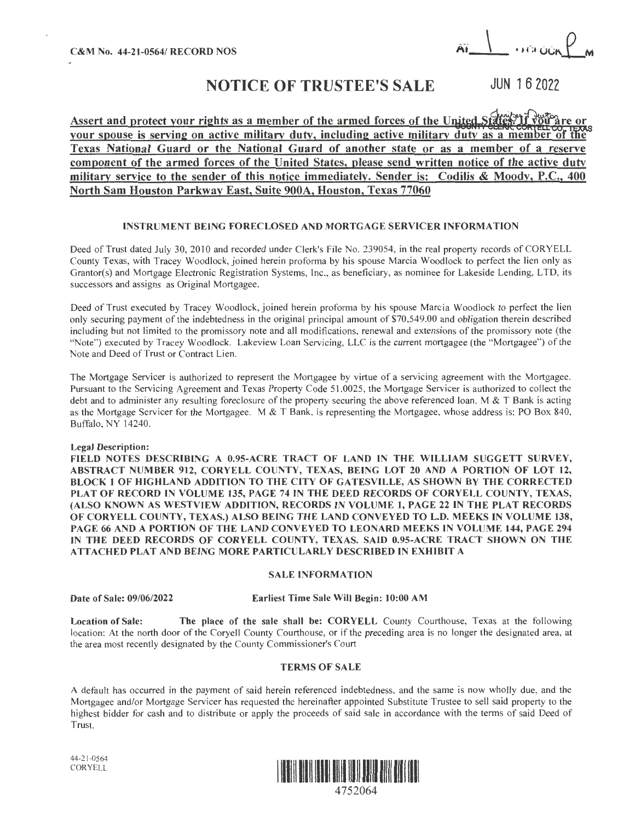$C$ &M No. 44-21-0564/ RECORD NOS  $\overrightarrow{AY}$  and  $\overrightarrow{AY}$  and  $\overrightarrow{AY}$ 

# NOTICE OF TRUSTEE'S SALE JUN 162022

Assert and protect your rights as a member of the armed forces of the United States. If your spouse is serving on active military duty, including active military duty as a member of the **Texas National Guard or the National Guard of another state or as a member of a reserve component of the armed forces of the United States, please send written notice of the active duty military service to the sender of this notice immediately. Sender is: Codilis** & **Moody, P.C., 400 North Sam Houston Parkway East, Suite 900A; Houston, Texas 77060** 

# **INSTRUMENT BEING FORECLOSED AND MORTGAGE SERVICER INFORMATION**

Deed of Trust dated July 30, 2010 and recorded under Clerk's File No. 239054, in the real property records of CORYELL County Texas, with Tracey Woodlock, joined herein proforma by his spouse Marcia Woodlock to perfect the lien only as Grantor(s) and Mortgage Electronic Registration Systems, Inc., as beneficiary, as nominee for Lakeside Lending, LTD, its successors and assigns as Original Mortgagee.

Deed of Trust executed by Tracey Woodlock, joined herein proforma by his spouse Marcia Woodlock to perfect the lien *only* securing payment of the indebtedness in the original principal amount of \$70,549.00 and obligation therein described including but not limited to the promissory note and all modifications, renewal and extensions of the promissory note (the "Note") executed by Tracey Woodlock. Lakeview Loan Servicing, LLC is the current mortgagee (the "Mortgagee") of the Note and Deed of Trust or Contract Lien.

The Mortgage Servicer is authorized to represent the Mortgagee by virtue of a servicing agreement with the Mortgagee. Pursuant to the Servicing Agreement and Texas Property Code 51.0025, the Mortgage Servicer is authorized to collect the debt and to administer any resulting foreclosure of the property securing the above referenced loan. **M** & T Bank is acting as the Mortgage Servicer for the Mortgagee. M & T Bank, is representing the Mortgagee, whose address is: PO Box 840, Buffalo, NY 14240.

## **Legal Description:**

FIELD NOTES DESCRIBING A 0.95-ACRE TRACT OF LAND IN THE WILLIAM SUGGETT SURVEY, **ABSTRACT NUMBER 912, CORYELL COUNTY, TEXAS, BEING LOT 20 AND A PORTION OF LOT 12, BLOCK 1 OF HIGHLAND ADDITION TO THE CITY OF GA TESVlLLE, AS SHOWN BY THE CORRECTED PLAT OF RECORD** IN **VOLUME 135, PAGE** 74 IN **THE DEED RECORDS OF CORYELL COUNTY, TEXAS, (ALSO KNOWN AS WESTVIEW ADDITION, RECORDS IN VOLUME 1, PAGE 22** IN **THE PLAT RECORDS OF CORYELL COUNTY, TEXAS.) ALSO BEING THE LAND CONVEYED TO L.D. MEEKS** IN **VOLUME 138, PAGE 66 AND A PORTION OF THE LAND CONVEYED TO LEONARD MEEKS IN VOLUME 144, PAGE 294** IN **THE DEED RECORDS OF CORYELL COUNTY, TEXAS. SAID 0.95-ACRE TRACT SHOWN ON THE A TT ACHED PLAT A D BEING MORE PARTICULARLY DESCRIBED IN EXHIBIT A** 

#### **SALE INFORMATION**

## **Date of Sale: 09/06/2022 Earliest Time Sale Will Begin: 10:00 AM**

**Location of Sale: The place of the sale shall be: CORYELL** County Courthouse, Texas at the following location: At the north door of the Coryell County Courthouse, or if the preceding area is no longer the designated area, at the area most recently designated by the County Commissioner's Court

# **TERMS OF SALE**

A default has occurred in the payment of said herein referenced indebtedness, and the same is now wholly due, and the Mortgagee and/or Mortgage Servicer has requested the hereinafter appointed Substitute Trustee to sell said property to the highest bidder for cash and to distribute or apply the proceeds of said sale in accordance with the terms of said Deed of Trust.



44-21-0564 CORYELL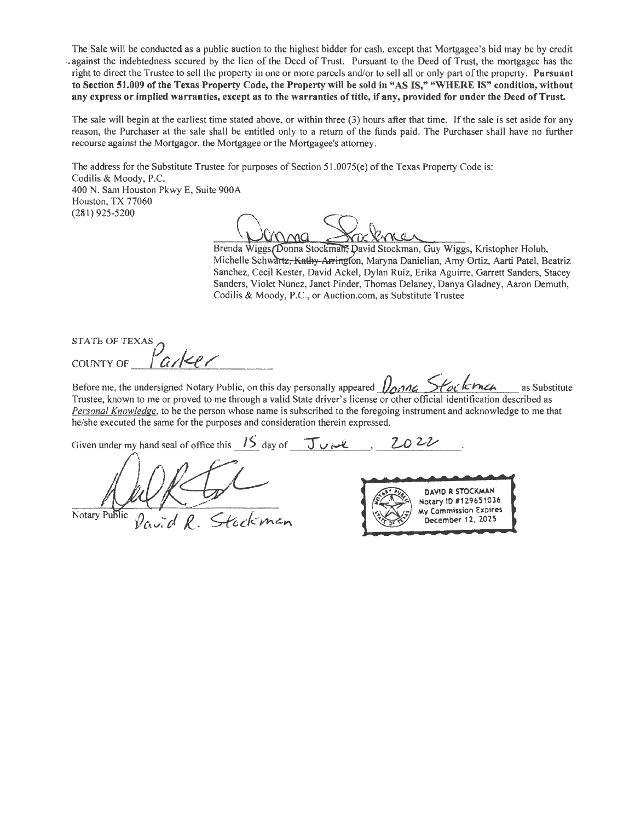The Sale will be conducted as a public auction to the highest bidder for cash, except that Mortgagee's bid may be by credit -against the indebtedness secured by the lien of the Deed of Trust. Pursuant to the Deed of Trust, the mortgagee has the right to direct the Trustee to sell the property in one or more parcels and/or to sell all or only part oftbe property. **Pursuant**  to Section 51.009 of the Texas Property Code, the Property will be sold in "AS IS," "WHERE IS" condition, without **any express or implied warranties, except as to the warranties of title, if any, provided for under the Deed of Trust.** 

The sale **will** begin at the earliest time stated above, or within three (3) hours after that time. If the sale is set aside for any reason, the Purchaser at the sale shall be entitled only to a return of the funds paid. The Purchaser shall have no further recourse against the Mortgagor, the Mortgagee or the Mortgagee's attorney.

The address for the Substitute Trustee for purposes of Section 51.0075(e) of the Texas Property Code is: Codilis & Moody, P.C. 400 N. Sam Houston Pkwy E, Suite 900A Houston, TX 77060 (281) 925-5200

Brenda Wiggs Donna Stockman, David Stockman, Guy Wiggs, Kristopher Holub, Michelle Schwartz<del>, Kathy Arringt</del>on, Maryna Danielian, Amy Ortiz, Aarti Patel, Beatriz Sanchez, Cecil Kester, David Ackel, Dylan Ruiz, Erika Aguirre, Garrett Sanders, Stacey Sanders, Violet Nunez, Janet Pinder, Thomas Delaney, Danya Gladney, Aaron Demuth, Codilis & Moody, P.C., or Auction.com, as Substitute Trustee

STATE OF TEXAS COUNTY OF *larker* 

Before me, the undersigned Notary Public, on this day personally appeared  $\sqrt{2}$ na Stack **Frack** as Substitute Trustee, known to me or proved to me through a valid State driver's license or other official identification described as *Personal Knowledge,* to be the person whose name is subscribed to the foregoing instrument and acknowledge to me that he/she executed the same for the purposes and consideration therein expressed.

Given under my hand seal of office this  $1.15$  day of  $\overline{J}$   $\overline{J}$   $\overline{J}$   $\overline{J}$   $\overline{J}$   $\overline{J}$   $\overline{J}$   $\overline{J}$   $\overline{J}$   $\overline{J}$   $\overline{J}$   $\overline{J}$   $\overline{J}$   $\overline{J}$   $\overline{J}$   $\overline{J}$   $\overline{J}$   $\overline{J}$   $\overline{$ 

Notary Public David  $\ell$